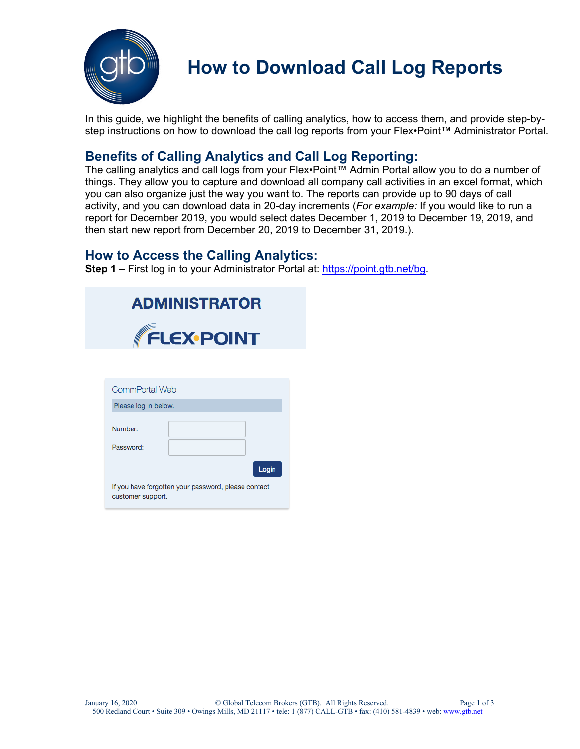

## **How to Download Call Log Reports**

In this guide, we highlight the benefits of calling analytics, how to access them, and provide step-bystep instructions on how to download the call log reports from your Flex•Point™ Administrator Portal.

### **Benefits of Calling Analytics and Call Log Reporting:**

The calling analytics and call logs from your Flex•Point™ Admin Portal allow you to do a number of things. They allow you to capture and download all company call activities in an excel format, which you can also organize just the way you want to. The reports can provide up to 90 days of call activity, and you can download data in 20-day increments (*For example:* If you would like to run a report for December 2019, you would select dates December 1, 2019 to December 19, 2019, and then start new report from December 20, 2019 to December 31, 2019.).

### **How to Access the Calling Analytics:**

**Step 1** – First log in to your Administrator Portal at: https://point.gtb.net/bg.

|                      | <b>ADMINISTRATOR</b>       |
|----------------------|----------------------------|
|                      | <b>FLEX-POINT</b>          |
|                      |                            |
| CommPortal Web       |                            |
| Please log in below. |                            |
| Number:              |                            |
| Password:            |                            |
|                      | $\mathbf{r} = -\mathbf{r}$ |

If you have forgotten your password, please contact customer support.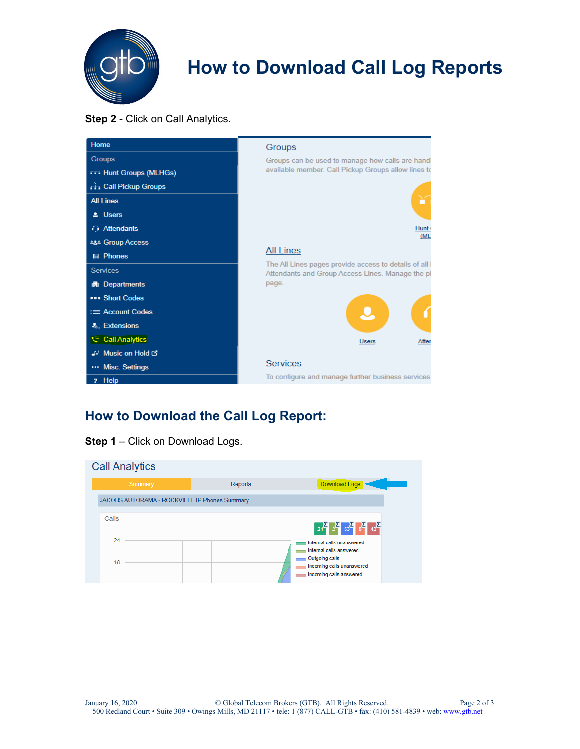

# **How to Download Call Log Reports**

#### **Step 2** - Click on Call Analytics.

| Home                            | Groups                                                                                                     |  |  |  |  |  |
|---------------------------------|------------------------------------------------------------------------------------------------------------|--|--|--|--|--|
| <b>Groups</b>                   | Groups can be used to manage how calls are handl                                                           |  |  |  |  |  |
| <b>YY's Hunt Groups (MLHGs)</b> | available member. Call Pickup Groups allow lines to                                                        |  |  |  |  |  |
| <b>call Pickup Groups</b>       |                                                                                                            |  |  |  |  |  |
| <b>All Lines</b>                |                                                                                                            |  |  |  |  |  |
| & Users                         |                                                                                                            |  |  |  |  |  |
| $\bigcap$ Attendants            | Hunt <sup>(</sup>                                                                                          |  |  |  |  |  |
| <b>ALL Group Access</b>         | (ML                                                                                                        |  |  |  |  |  |
| <b>I</b> A Phones               | <b>All Lines</b>                                                                                           |  |  |  |  |  |
| <b>Services</b>                 | The All Lines pages provide access to details of all I<br>Attendants and Group Access Lines. Manage the pl |  |  |  |  |  |
| <b>曲 Departments</b>            | page.                                                                                                      |  |  |  |  |  |
| <b>*** Short Codes</b>          |                                                                                                            |  |  |  |  |  |
| $\equiv$ Account Codes          |                                                                                                            |  |  |  |  |  |
| &. Extensions                   | Atter<br><b>Users</b>                                                                                      |  |  |  |  |  |
| Call Analytics                  |                                                                                                            |  |  |  |  |  |
| J-' Music on Hold C'            |                                                                                                            |  |  |  |  |  |
| Misc. Settings                  | <b>Services</b>                                                                                            |  |  |  |  |  |
| ? Help                          | To configure and manage further business services                                                          |  |  |  |  |  |

## **How to Download the Call Log Report:**

|  |  |  |  |  | Step 1 - Click on Download Logs. |  |  |
|--|--|--|--|--|----------------------------------|--|--|
|--|--|--|--|--|----------------------------------|--|--|

| <b>Call Analytics</b> |          |  |         |                                               |  |               |                                                                               |
|-----------------------|----------|--|---------|-----------------------------------------------|--|---------------|-------------------------------------------------------------------------------|
|                       | Summary  |  | Reports |                                               |  | Download Logs |                                                                               |
|                       |          |  |         | JACOBS AUTORAMA - ROCKVILLE IP Phones Summary |  |               |                                                                               |
|                       | Calls    |  |         |                                               |  |               | $21^2$ $2^2$ $53^2$ $0^2$ $42^2$                                              |
|                       | 24<br>18 |  |         |                                               |  |               | Internal calls unanswered<br>Internal calls answered<br><b>Outgoing calls</b> |
|                       |          |  |         |                                               |  |               | Incoming calls unanswered<br>Incoming calls answered                          |